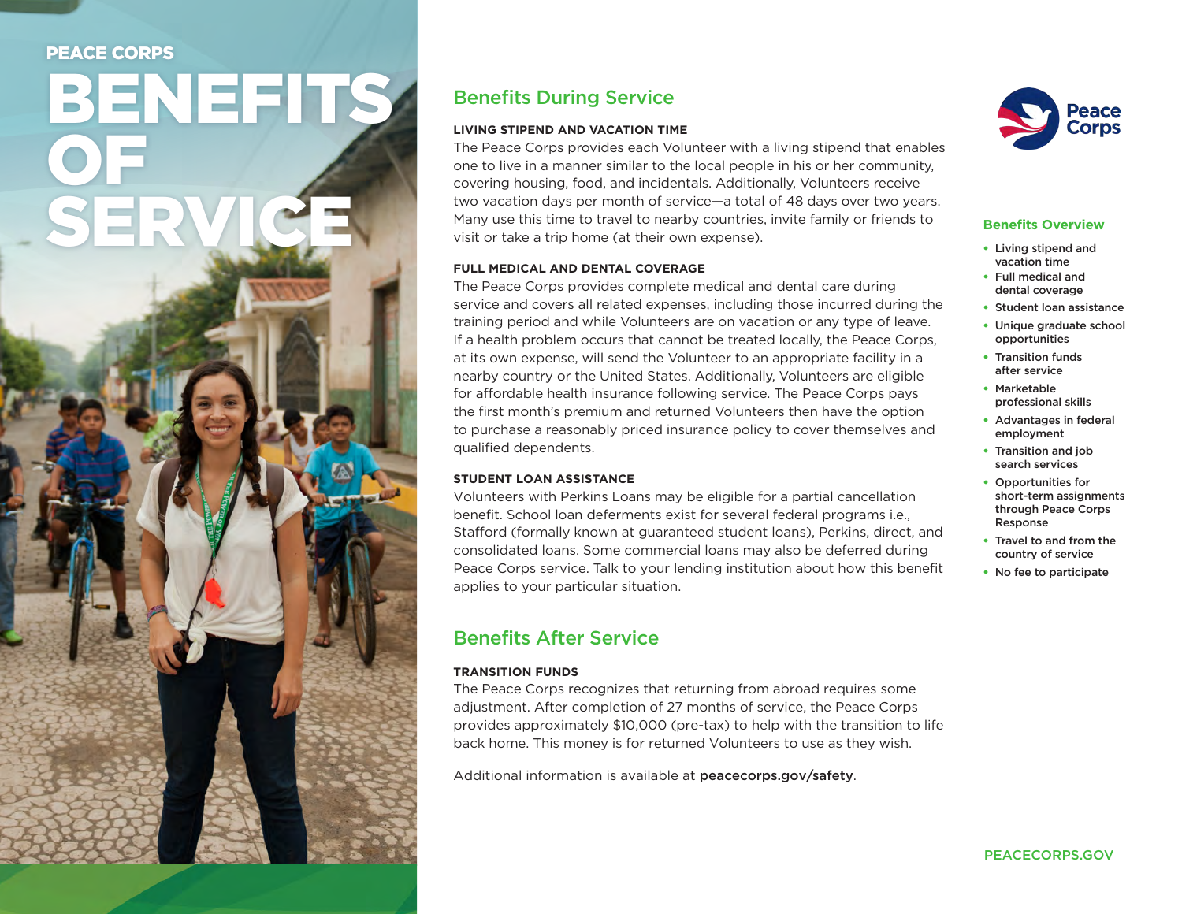# PEACE CORPS

# BENEFITS OF SERVICE

# Benefits During Service

## **LIVING STIPEND AND VACATION TIME**

The Peace Corps provides each Volunteer with a living stipend that enables one to live in a manner similar to the local people in his or her community, covering housing, food, and incidentals. Additionally, Volunteers receive two vacation days per month of service—a total of 48 days over two years. Many use this time to travel to nearby countries, invite family or friends to visit or take a trip home (at their own expense).

#### **FULL MEDICAL AND DENTAL COVERAGE**

The Peace Corps provides complete medical and dental care during service and covers all related expenses, including those incurred during the training period and while Volunteers are on vacation or any type of leave. If a health problem occurs that cannot be treated locally, the Peace Corps, at its own expense, will send the Volunteer to an appropriate facility in a nearby country or the United States. Additionally, Volunteers are eligible for affordable health insurance following service. The Peace Corps pays the first month's premium and returned Volunteers then have the option to purchase a reasonably priced insurance policy to cover themselves and qualified dependents.

## **STUDENT LOAN ASSISTANCE**

Volunteers with Perkins Loans may be eligible for a partial cancellation benefit. School loan deferments exist for several federal programs i.e., Stafford (formally known at guaranteed student loans), Perkins, direct, and consolidated loans. Some commercial loans may also be deferred during Peace Corps service. Talk to your lending institution about how this benefit applies to your particular situation.

# Benefits After Service

#### **TRANSITION FUNDS**

The Peace Corps recognizes that returning from abroad requires some adjustment. After completion of 27 months of service, the Peace Corps provides approximately \$10,000 (pre-tax) to help with the transition to life back home. This money is for returned Volunteers to use as they wish.

Additional information is available at peacecorps.gov/safety.



## **Benefits Overview**

- Living stipend and vacation time
- Full medical and dental coverage
- Student loan assistance
- Unique graduate school opportunities
- Transition funds after service
- Marketable professional skills
- Advantages in federal employment
- Transition and job search services
- Opportunities for short-term assignments through Peace Corps Response
- Travel to and from the country of service
- No fee to participate